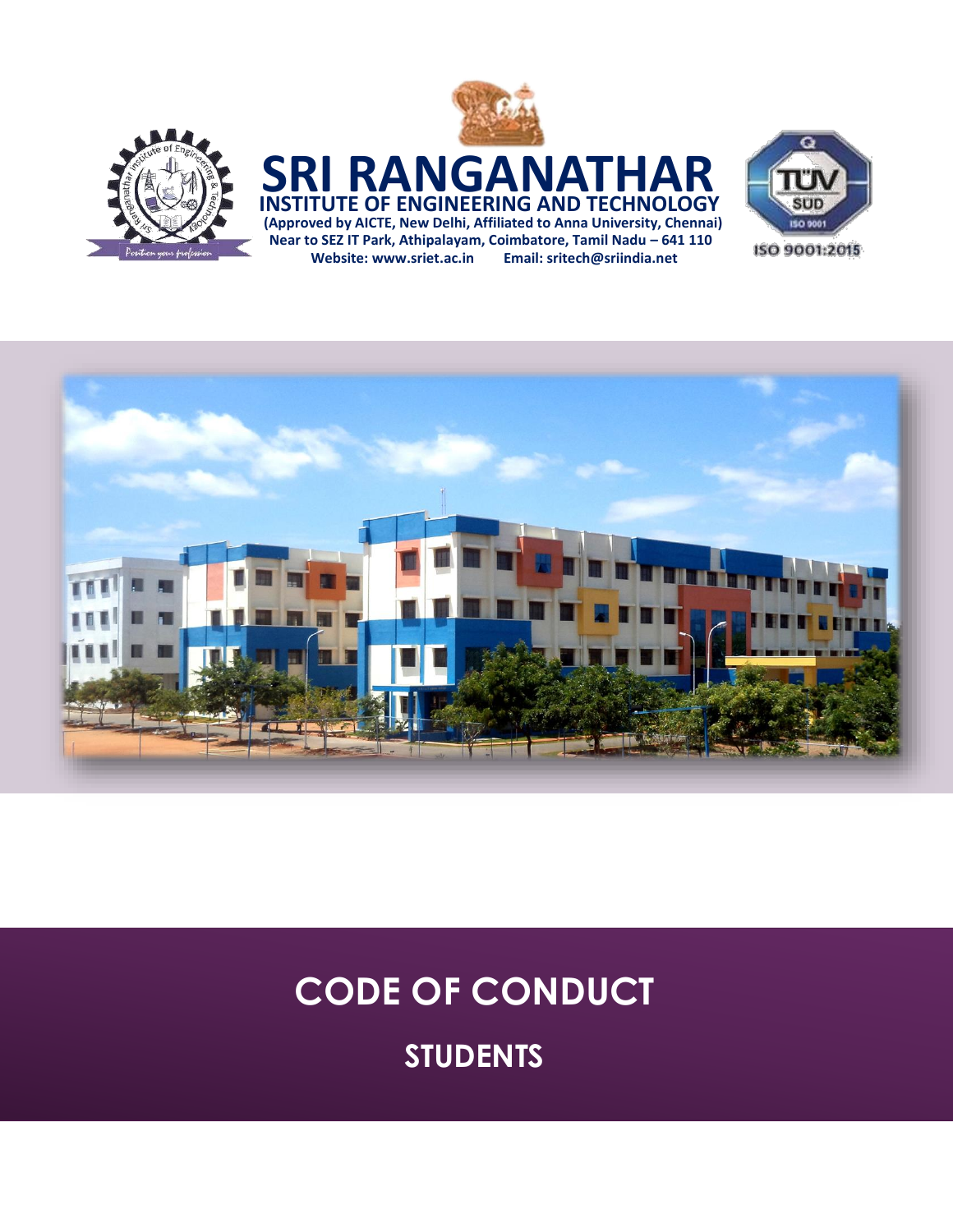





# **CODE OF CONDUCT**

**STUDENTS**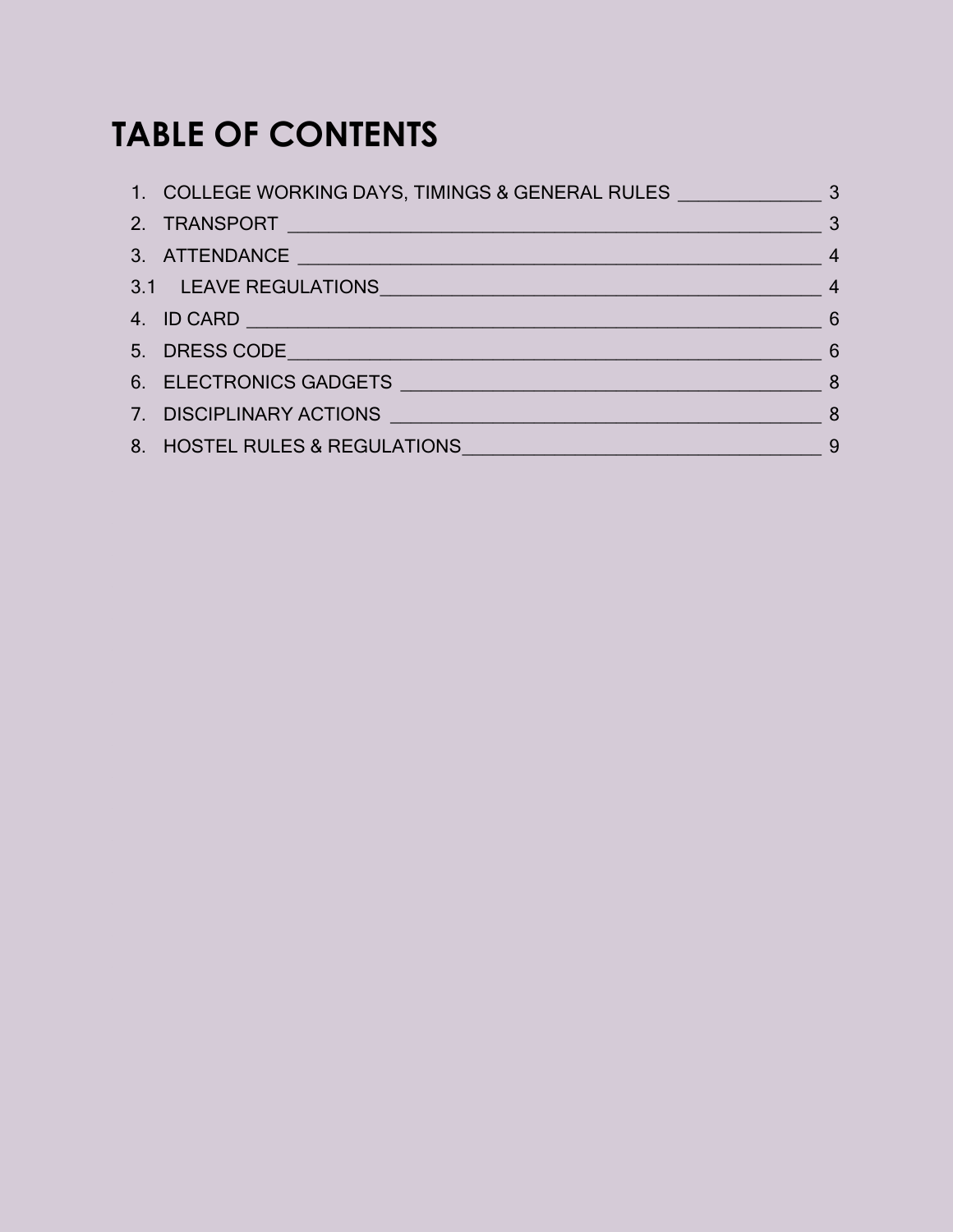# **TABLE OF CONTENTS**

| $\sim$ 3                                                    |  |
|-------------------------------------------------------------|--|
|                                                             |  |
| 3.1 LEAVE REGULATIONS 4                                     |  |
|                                                             |  |
| $\overline{6}$                                              |  |
|                                                             |  |
| 7. DISCIPLINARY ACTIONS 3                                   |  |
| 8. HOSTEL RULES & REGULATIONS <b>SECTION AND REGULATION</b> |  |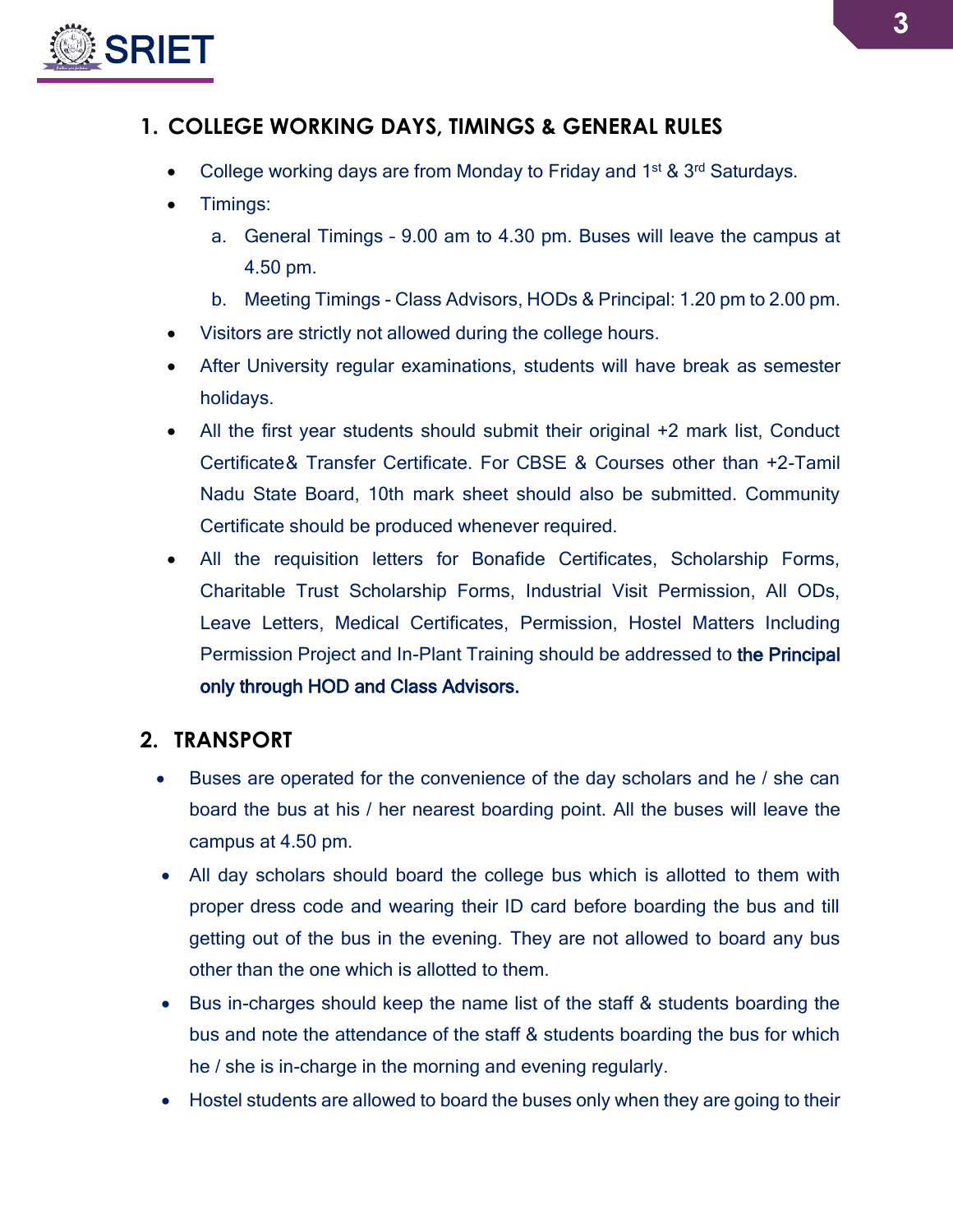

### <span id="page-2-0"></span>**1. COLLEGE WORKING DAYS, TIMINGS & GENERAL RULES**

- College working days are from Monday to Friday and 1<sup>st & 3rd</sup> Saturdays.
- Timings:
	- a. General Timings 9.00 am to 4.30 pm. Buses will leave the campus at 4.50 pm.
	- b. Meeting Timings Class Advisors, HODs & Principal: 1.20 pm to 2.00 pm.
- Visitors are strictly not allowed during the college hours.
- After University regular examinations, students will have break as semester holidays.
- All the first year students should submit their original +2 mark list, Conduct Certificate& Transfer Certificate. For CBSE & Courses other than +2-Tamil Nadu State Board, 10th mark sheet should also be submitted. Community Certificate should be produced whenever required.
- All the requisition letters for Bonafide Certificates, Scholarship Forms, Charitable Trust Scholarship Forms, Industrial Visit Permission, All ODs, Leave Letters, Medical Certificates, Permission, Hostel Matters Including Permission Project and In-Plant Training should be addressed to the Principal only through HOD and Class Advisors.

### <span id="page-2-1"></span>**2. TRANSPORT**

- Buses are operated for the convenience of the day scholars and he / she can board the bus at his / her nearest boarding point. All the buses will leave the campus at 4.50 pm.
- All day scholars should board the college bus which is allotted to them with proper dress code and wearing their ID card before boarding the bus and till getting out of the bus in the evening. They are not allowed to board any bus other than the one which is allotted to them.
- Bus in-charges should keep the name list of the staff & students boarding the bus and note the attendance of the staff & students boarding the bus for which he / she is in-charge in the morning and evening regularly.
- Hostel students are allowed to board the buses only when they are going to their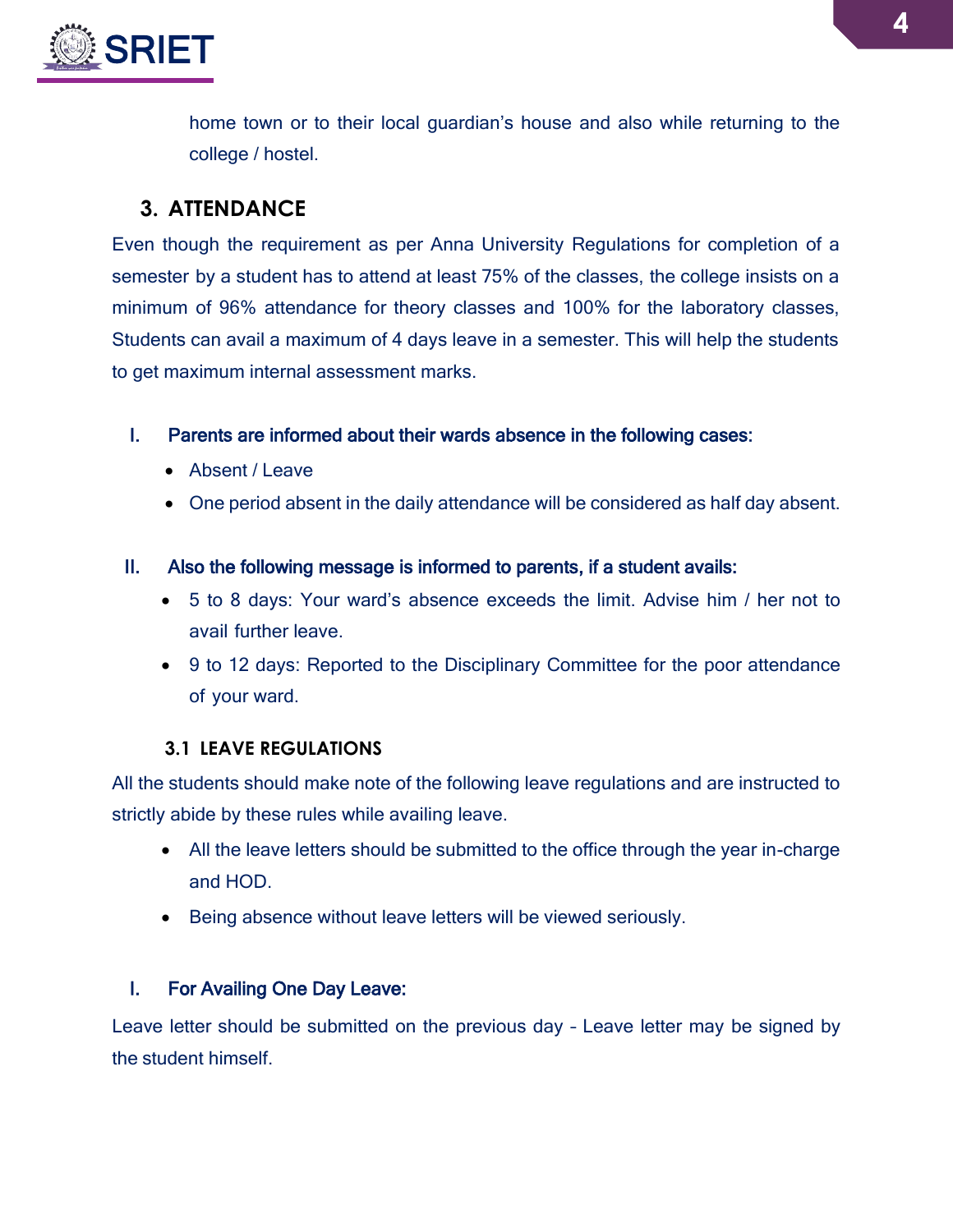

home town or to their local guardian's house and also while returning to the college / hostel.

### <span id="page-3-0"></span>**3. ATTENDANCE**

Even though the requirement as per Anna University Regulations for completion of a semester by a student has to attend at least 75% of the classes, the college insists on a minimum of 96% attendance for theory classes and 100% for the laboratory classes, Students can avail a maximum of 4 days leave in a semester. This will help the students to get maximum internal assessment marks.

### I. Parents are informed about their wards absence in the following cases:

- Absent / Leave
- One period absent in the daily attendance will be considered as half day absent.

### II. Also the following message is informed to parents, if a student avails:

- 5 to 8 days: Your ward's absence exceeds the limit. Advise him / her not to avail further leave.
- 9 to 12 days: Reported to the Disciplinary Committee for the poor attendance of your ward.

### **3.1 LEAVE REGULATIONS**

<span id="page-3-1"></span>All the students should make note of the following leave regulations and are instructed to strictly abide by these rules while availing leave.

- All the leave letters should be submitted to the office through the year in-charge and HOD.
- Being absence without leave letters will be viewed seriously.

### I. For Availing One Day Leave:

Leave letter should be submitted on the previous day – Leave letter may be signed by the student himself.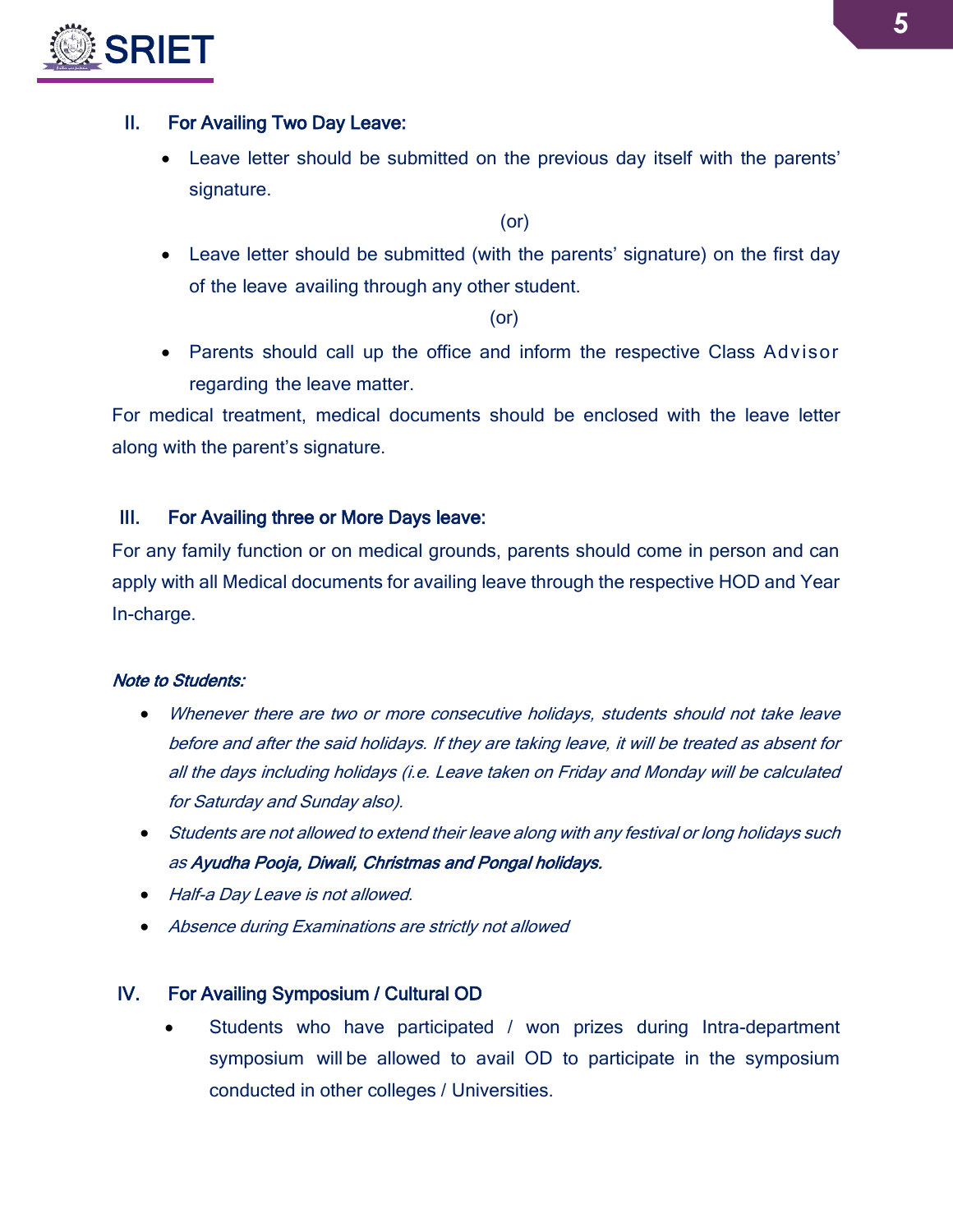

### II. For Availing Two Day Leave:

 Leave letter should be submitted on the previous day itself with the parents' signature.

(or)

 Leave letter should be submitted (with the parents' signature) on the first day of the leave availing through any other student.

(or)

• Parents should call up the office and inform the respective Class Advisor regarding the leave matter.

For medical treatment, medical documents should be enclosed with the leave letter along with the parent's signature.

### III. For Availing three or More Days leave:

For any family function or on medical grounds, parents should come in person and can apply with all Medical documents for availing leave through the respective HOD and Year In-charge.

### Note to Students:

- Whenever there are two or more consecutive holidays, students should not take leave before and after the said holidays. If they are taking leave, it will be treated as absent for all the days including holidays (i.e. Leave taken on Friday and Monday will be calculated for Saturday and Sunday also).
- Students are not allowed to extend their leave along with any festival or long holidays such as Ayudha Pooja, Diwali, Christmas and Pongal holidays.
- Half-a Day Leave is not allowed.
- Absence during Examinations are strictly not allowed

### IV. For Availing Symposium / Cultural OD

 Students who have participated / won prizes during Intra-department symposium will be allowed to avail OD to participate in the symposium conducted in other colleges / Universities.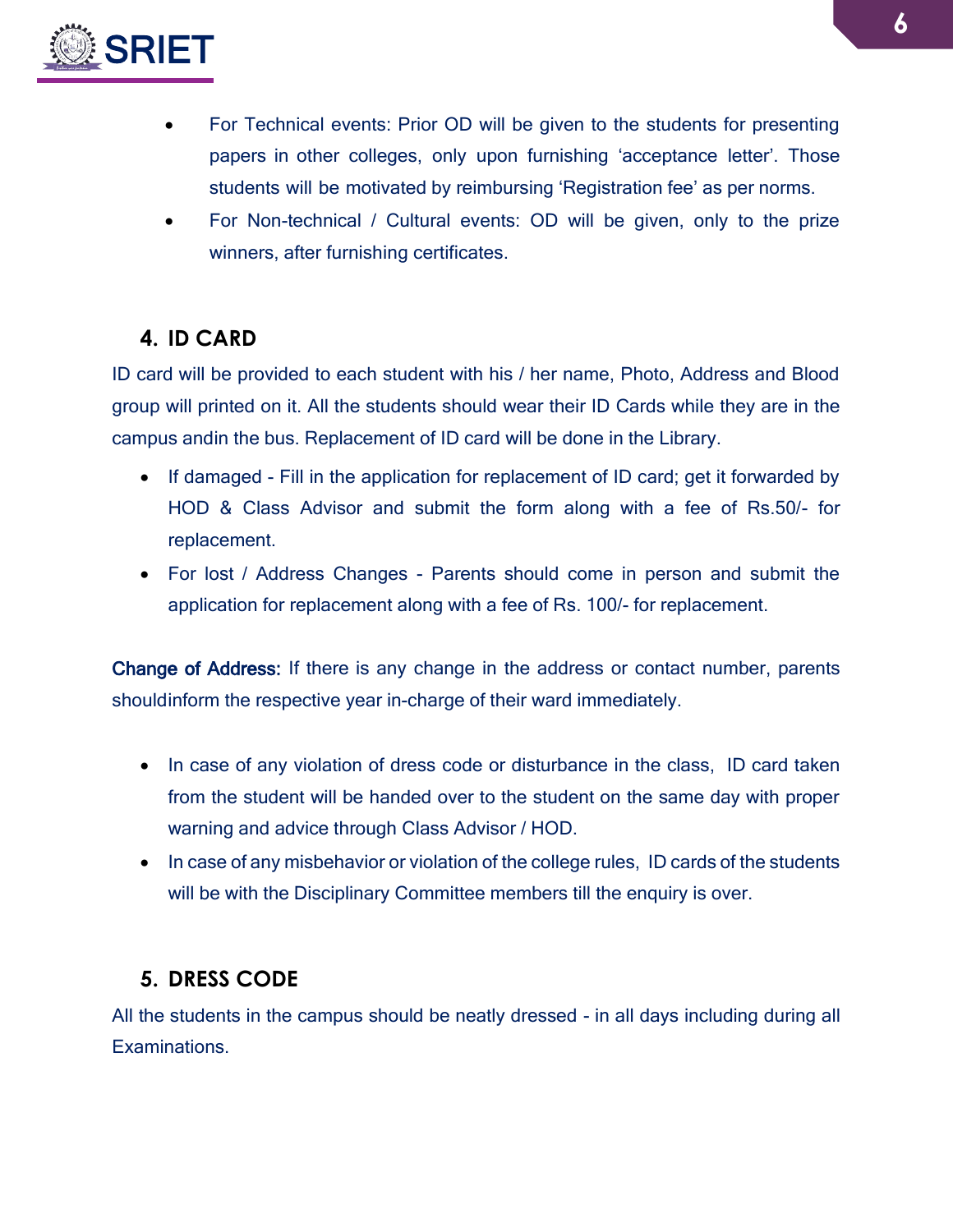

- For Technical events: Prior OD will be given to the students for presenting papers in other colleges, only upon furnishing 'acceptance letter'. Those students will be motivated by reimbursing 'Registration fee' as per norms.
- For Non-technical / Cultural events: OD will be given, only to the prize winners, after furnishing certificates.

# <span id="page-5-0"></span>**4. ID CARD**

ID card will be provided to each student with his / her name, Photo, Address and Blood group will printed on it. All the students should wear their ID Cards while they are in the campus andin the bus. Replacement of ID card will be done in the Library.

- If damaged Fill in the application for replacement of ID card; get it forwarded by HOD & Class Advisor and submit the form along with a fee of Rs.50/- for replacement.
- For lost / Address Changes Parents should come in person and submit the application for replacement along with a fee of Rs. 100/- for replacement.

Change of Address: If there is any change in the address or contact number, parents shouldinform the respective year in-charge of their ward immediately.

- In case of any violation of dress code or disturbance in the class, ID card taken from the student will be handed over to the student on the same day with proper warning and advice through Class Advisor / HOD.
- In case of any misbehavior or violation of the college rules, ID cards of the students will be with the Disciplinary Committee members till the enquiry is over.

# <span id="page-5-1"></span>**5. DRESS CODE**

All the students in the campus should be neatly dressed - in all days including during all Examinations.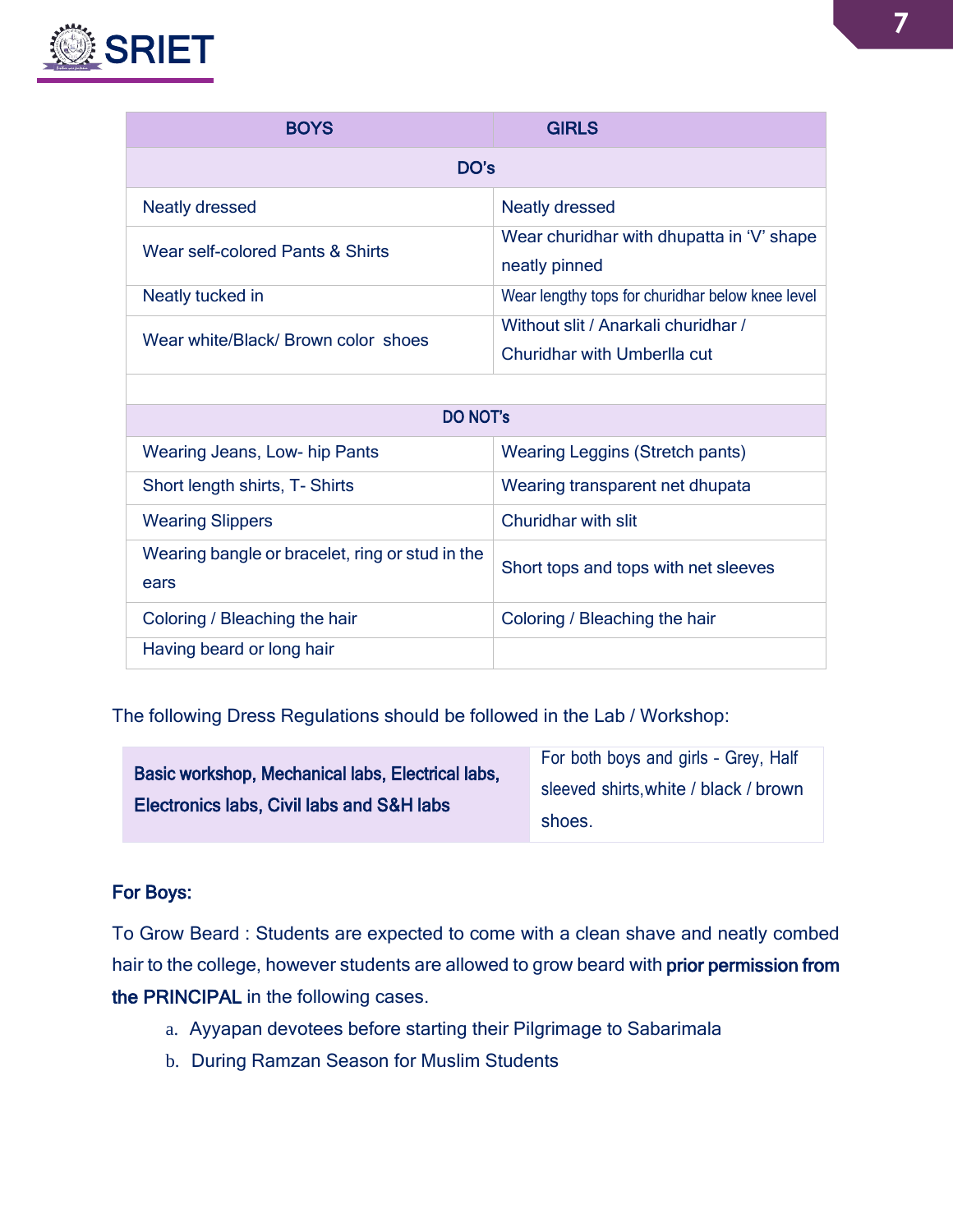

| <b>BOYS</b>                         | <b>GIRLS</b>                                                       |  |  |  |  |
|-------------------------------------|--------------------------------------------------------------------|--|--|--|--|
| DO's                                |                                                                    |  |  |  |  |
| <b>Neatly dressed</b>               | <b>Neatly dressed</b>                                              |  |  |  |  |
| Wear self-colored Pants & Shirts    | Wear churidhar with dhupatta in 'V' shape<br>neatly pinned         |  |  |  |  |
| Neatly tucked in                    | Wear lengthy tops for churidhar below knee level                   |  |  |  |  |
| Wear white/Black/ Brown color shoes | Without slit / Anarkali churidhar /<br>Churidhar with Umberlla cut |  |  |  |  |
|                                     |                                                                    |  |  |  |  |

| <b>DO NOT'S</b>                                         |                                        |  |  |  |
|---------------------------------------------------------|----------------------------------------|--|--|--|
| Wearing Jeans, Low- hip Pants                           | <b>Wearing Leggins (Stretch pants)</b> |  |  |  |
| Short length shirts, T- Shirts                          | Wearing transparent net dhupata        |  |  |  |
| <b>Wearing Slippers</b>                                 | Churidhar with slit                    |  |  |  |
| Wearing bangle or bracelet, ring or stud in the<br>ears | Short tops and tops with net sleeves   |  |  |  |
| Coloring / Bleaching the hair                           | Coloring / Bleaching the hair          |  |  |  |
| Having beard or long hair                               |                                        |  |  |  |

The following Dress Regulations should be followed in the Lab / Workshop:

|                                                   | For both boys and girls - Grey, Half  |  |
|---------------------------------------------------|---------------------------------------|--|
| Basic workshop, Mechanical labs, Electrical labs, | sleeved shirts, white / black / brown |  |
| Electronics labs, Civil labs and S&H labs         |                                       |  |
|                                                   | shoes.                                |  |
|                                                   |                                       |  |

### For Boys:

To Grow Beard : Students are expected to come with a clean shave and neatly combed hair to the college, however students are allowed to grow beard with prior permission from the PRINCIPAL in the following cases.

- a. Ayyapan devotees before starting their Pilgrimage to Sabarimala
- b. During Ramzan Season for Muslim Students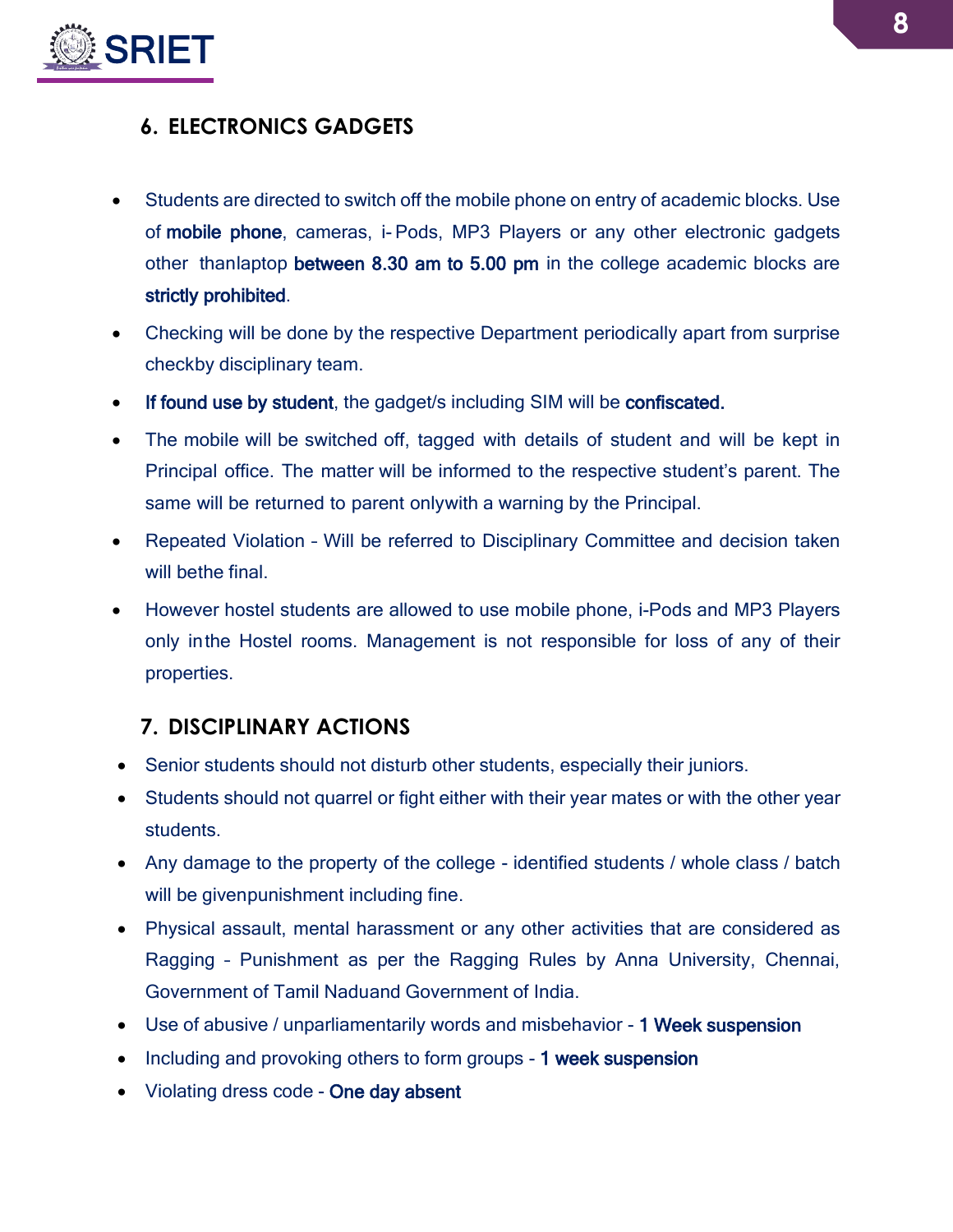

# <span id="page-7-0"></span>**6. ELECTRONICS GADGETS**

- Students are directed to switch off the mobile phone on entry of academic blocks. Use of mobile phone, cameras, i- Pods, MP3 Players or any other electronic gadgets other thanlaptop between 8.30 am to 5.00 pm in the college academic blocks are strictly prohibited.
- Checking will be done by the respective Department periodically apart from surprise checkby disciplinary team.
- If found use by student, the gadget/s including SIM will be confiscated.
- The mobile will be switched off, tagged with details of student and will be kept in Principal office. The matter will be informed to the respective student's parent. The same will be returned to parent onlywith a warning by the Principal.
- Repeated Violation Will be referred to Disciplinary Committee and decision taken will bethe final.
- However hostel students are allowed to use mobile phone, i-Pods and MP3 Players only inthe Hostel rooms. Management is not responsible for loss of any of their properties.

## <span id="page-7-1"></span>**7. DISCIPLINARY ACTIONS**

- Senior students should not disturb other students, especially their juniors.
- Students should not quarrel or fight either with their year mates or with the other year students.
- Any damage to the property of the college identified students / whole class / batch will be givenpunishment including fine.
- Physical assault, mental harassment or any other activities that are considered as Ragging – Punishment as per the Ragging Rules by Anna University, Chennai, Government of Tamil Naduand Government of India.
- Use of abusive / unparliamentarily words and misbehavior 1 Week suspension
- Including and provoking others to form groups 1 week suspension
- Violating dress code One day absent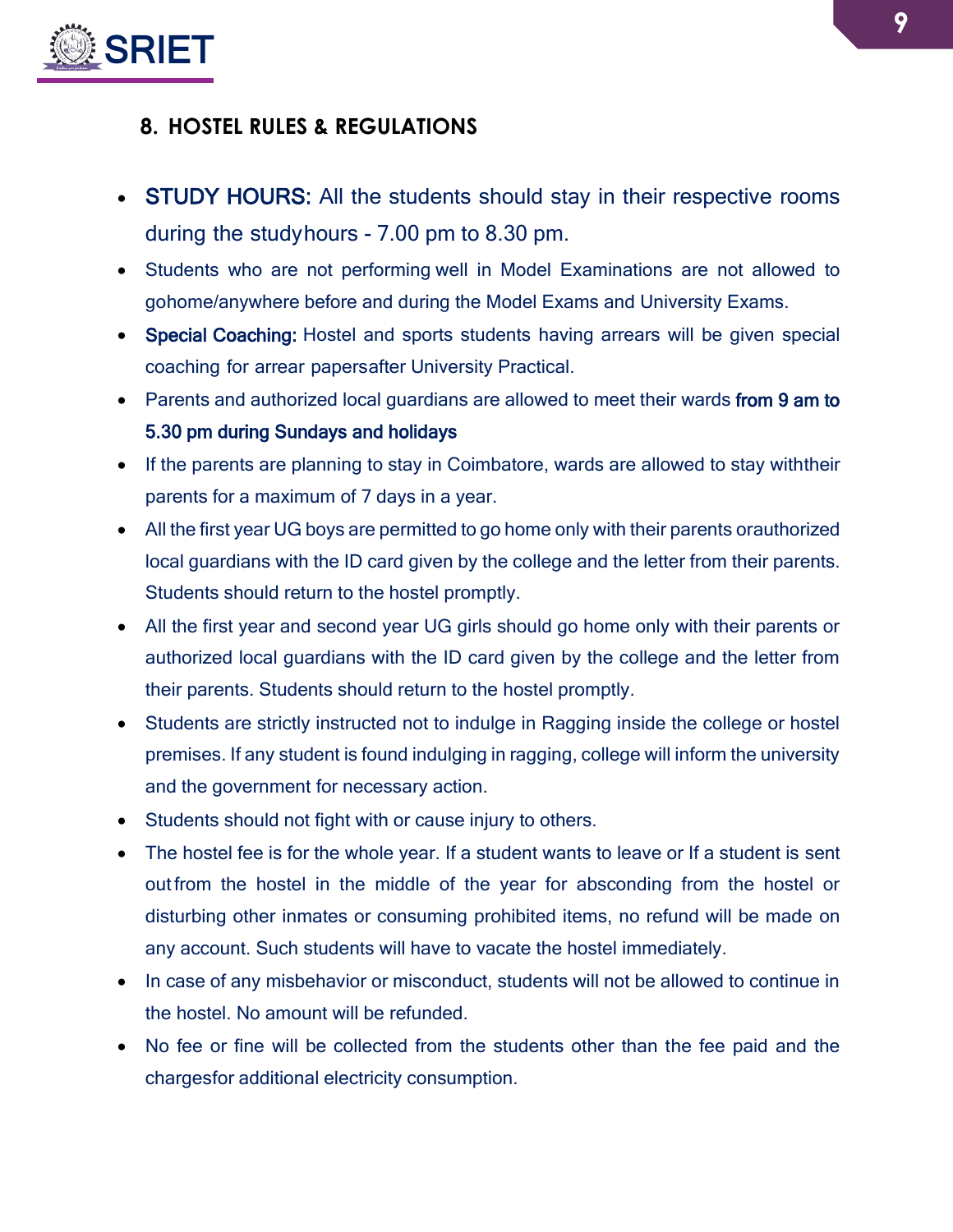

# <span id="page-8-0"></span>**8. HOSTEL RULES & REGULATIONS**

- STUDY HOURS: All the students should stay in their respective rooms during the studyhours - 7.00 pm to 8.30 pm.
- Students who are not performing well in Model Examinations are not allowed to gohome/anywhere before and during the Model Exams and University Exams.
- Special Coaching: Hostel and sports students having arrears will be given special coaching for arrear papersafter University Practical.
- Parents and authorized local guardians are allowed to meet their wards from 9 am to 5.30 pm during Sundays and holidays
- If the parents are planning to stay in Coimbatore, wards are allowed to stay with their parents for a maximum of 7 days in a year.
- All the first year UG boys are permitted to go home only with their parents orauthorized local guardians with the ID card given by the college and the letter from their parents. Students should return to the hostel promptly.
- All the first year and second year UG girls should go home only with their parents or authorized local guardians with the ID card given by the college and the letter from their parents. Students should return to the hostel promptly.
- Students are strictly instructed not to indulge in Ragging inside the college or hostel premises. If any student is found indulging in ragging, college will inform the university and the government for necessary action.
- Students should not fight with or cause injury to others.
- The hostel fee is for the whole year. If a student wants to leave or If a student is sent out from the hostel in the middle of the year for absconding from the hostel or disturbing other inmates or consuming prohibited items, no refund will be made on any account. Such students will have to vacate the hostel immediately.
- In case of any misbehavior or misconduct, students will not be allowed to continue in the hostel. No amount will be refunded.
- No fee or fine will be collected from the students other than the fee paid and the chargesfor additional electricity consumption.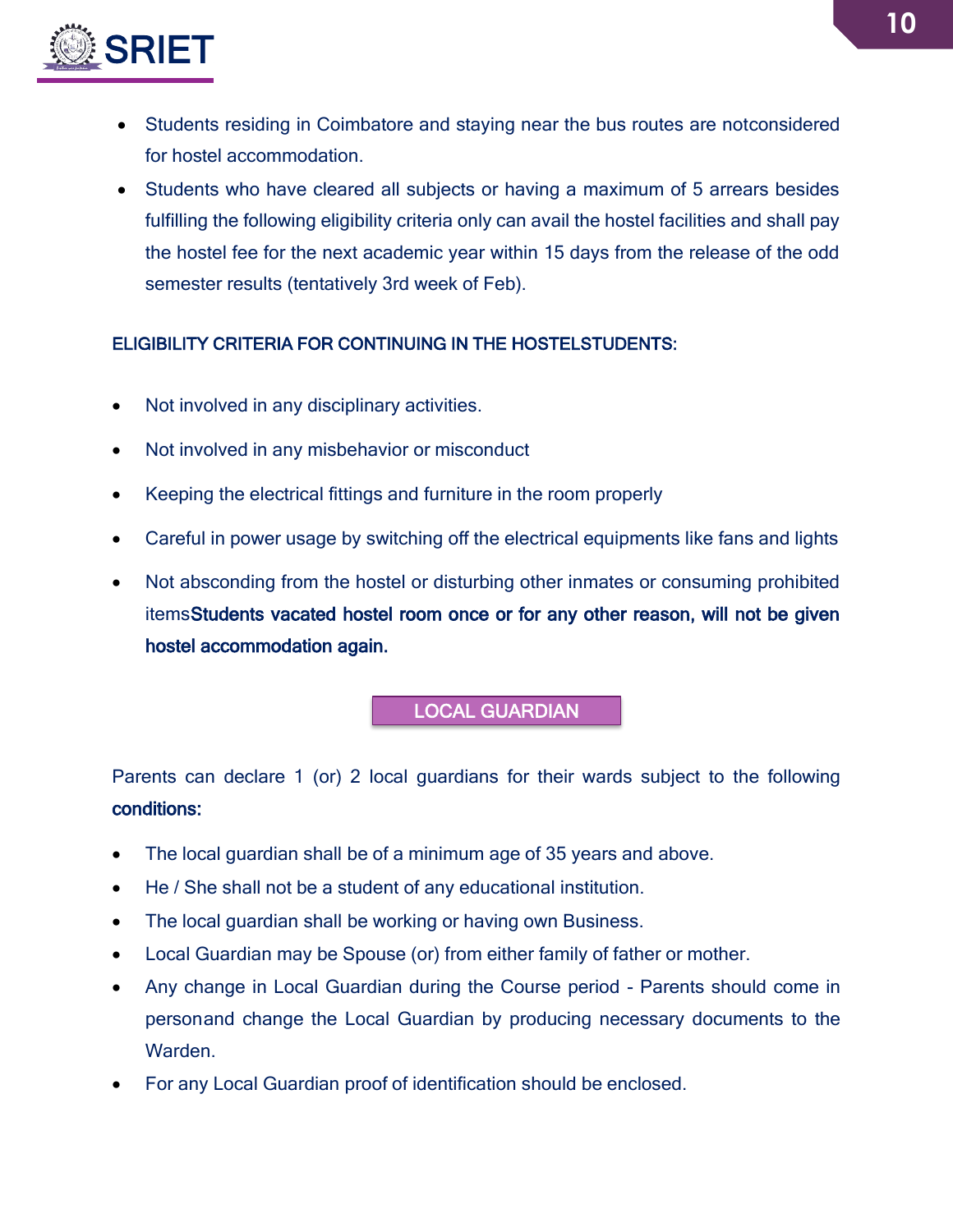

- Students residing in Coimbatore and staying near the bus routes are notconsidered for hostel accommodation.
- Students who have cleared all subjects or having a maximum of 5 arrears besides fulfilling the following eligibility criteria only can avail the hostel facilities and shall pay the hostel fee for the next academic year within 15 days from the release of the odd semester results (tentatively 3rd week of Feb).

### ELIGIBILITY CRITERIA FOR CONTINUING IN THE HOSTELSTUDENTS:

- Not involved in any disciplinary activities.
- Not involved in any misbehavior or misconduct
- Keeping the electrical fittings and furniture in the room properly
- Careful in power usage by switching off the electrical equipments like fans and lights
- Not absconding from the hostel or disturbing other inmates or consuming prohibited itemsStudents vacated hostel room once or for any other reason, will not be given hostel accommodation again.

### LOCAL GUARDIAN

Parents can declare 1 (or) 2 local guardians for their wards subject to the following conditions:

- The local guardian shall be of a minimum age of 35 years and above.
- He / She shall not be a student of any educational institution.
- The local guardian shall be working or having own Business.
- Local Guardian may be Spouse (or) from either family of father or mother.
- Any change in Local Guardian during the Course period Parents should come in personand change the Local Guardian by producing necessary documents to the Warden.
- For any Local Guardian proof of identification should be enclosed.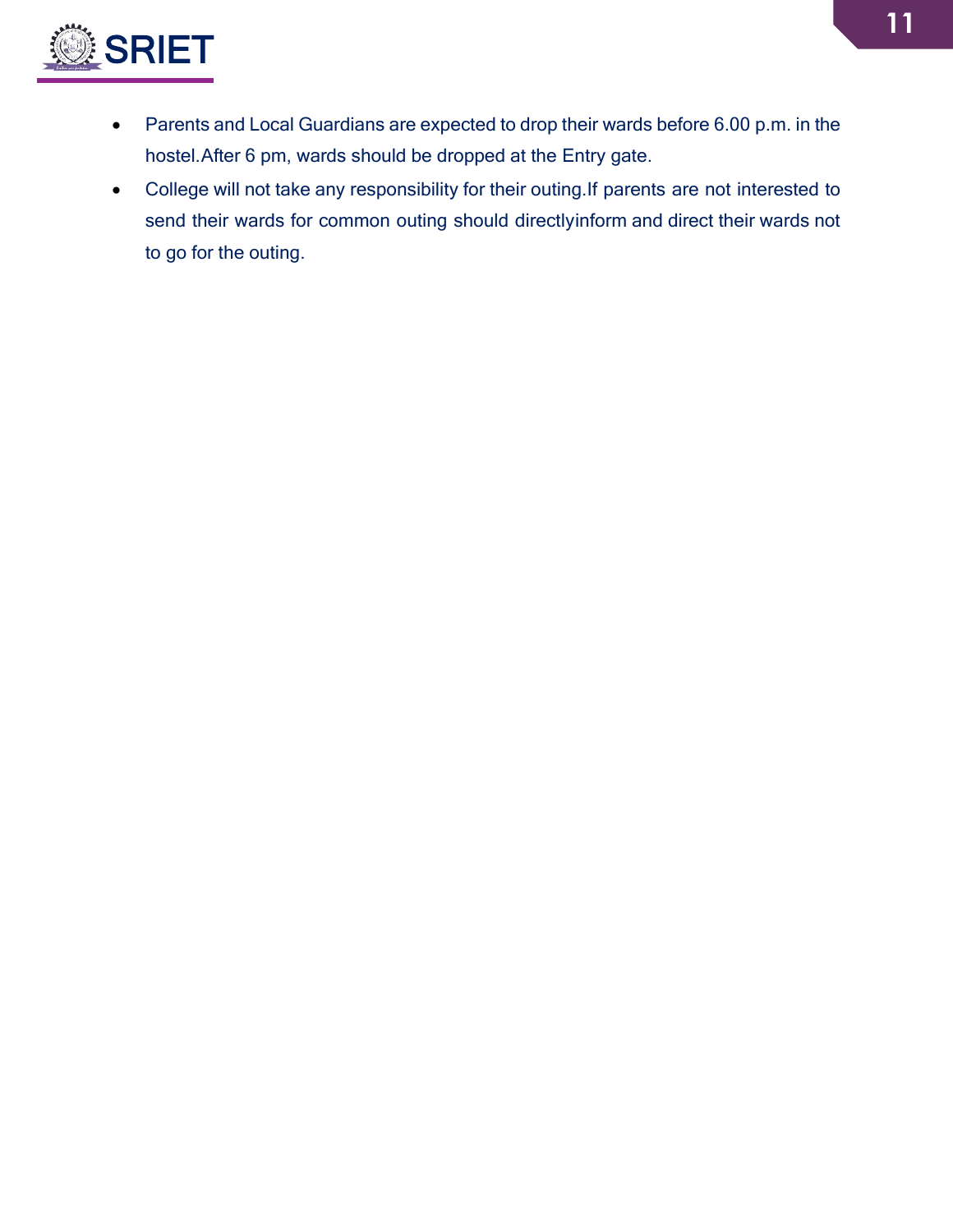

- Parents and Local Guardians are expected to drop their wards before 6.00 p.m. in the hostel.After 6 pm, wards should be dropped at the Entry gate.
- College will not take any responsibility for their outing.If parents are not interested to send their wards for common outing should directlyinform and direct their wards not to go for the outing.